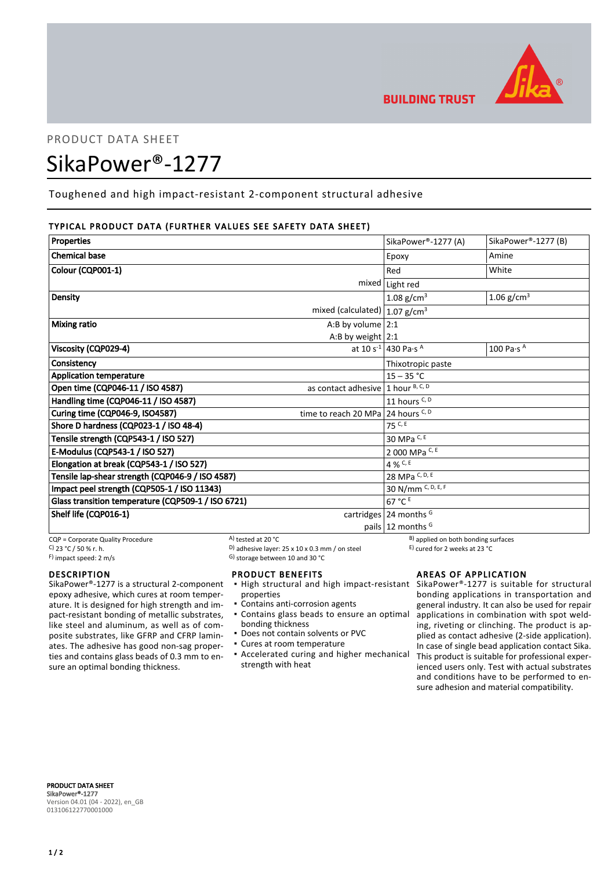

# PRODUCT DATA SHEET

# SikaPower®-1277

Toughened and high impact-resistant 2-component structural adhesive

# TYPICAL PRODUCT DATA (FURTHER VALUES SEE SAFETY DATA SHEET)

| <b>Properties</b>                                  |                                      | SikaPower®-1277 (A)                         | SikaPower®-1277 (B)            |
|----------------------------------------------------|--------------------------------------|---------------------------------------------|--------------------------------|
| <b>Chemical base</b>                               |                                      | Epoxy                                       | Amine                          |
| Colour (CQP001-1)                                  |                                      | Red                                         | White                          |
|                                                    | mixed                                | Light red                                   |                                |
| Density                                            |                                      | 1.08 g/cm <sup>3</sup>                      | 1.06 $g/cm^{3}$                |
| mixed (calculated) $ 1.07$ g/cm <sup>3</sup>       |                                      |                                             |                                |
| <b>Mixing ratio</b>                                | A:B by volume $2:1$                  |                                             |                                |
|                                                    | A:B by weight $2:1$                  |                                             |                                |
| Viscosity (CQP029-4)                               |                                      | at 10 s <sup>-1</sup> 430 Pa·s <sup>A</sup> | 100 Pa $\cdot$ s $^{\text{A}}$ |
| Consistency                                        |                                      | Thixotropic paste                           |                                |
| <b>Application temperature</b>                     |                                      | $15 - 35 °C$                                |                                |
| Open time (CQP046-11 / ISO 4587)                   | as contact adhesive $1$ hour B, C, D |                                             |                                |
| Handling time (CQP046-11 / ISO 4587)               |                                      | 11 hours C, D                               |                                |
| Curing time (CQP046-9, ISO4587)                    | time to reach 20 MPa 24 hours $C, D$ |                                             |                                |
| Shore D hardness (CQP023-1 / ISO 48-4)             |                                      | $75$ C, E                                   |                                |
| Tensile strength (CQP543-1 / ISO 527)              |                                      | 30 MPa C, E                                 |                                |
| E-Modulus (CQP543-1 / ISO 527)                     |                                      | 2 000 MPa C, E                              |                                |
| Elongation at break (CQP543-1 / ISO 527)           |                                      | 4 % C, E                                    |                                |
| Tensile lap-shear strength (CQP046-9 / ISO 4587)   |                                      | 28 MPa C, D, E                              |                                |
| Impact peel strength (CQP505-1 / ISO 11343)        |                                      | 30 N/mm C, D, E, F                          |                                |
| Glass transition temperature (CQP509-1 / ISO 6721) |                                      | 67 °C E                                     |                                |
| Shelf life (CQP016-1)                              |                                      | cartridges $24$ months <sup>G</sup>         |                                |
|                                                    |                                      | pails $12$ months <sup>G</sup>              |                                |

CQP = Corporate Quality Procedure  $\overline{C}$  CP = Corporate Quality Procedure  $\overline{C}$  B) applied on both bonding surfaces<br>  $\overline{C}$  C  $\overline{C}$  23 °C / 50 % r. h.<br>  $\overline{D}$  adhesive layer: 25 x 10 x 0.3 mm / on steel  $\overline{D$ C)  $23 °C / 50 %$  r. h.  $\overline{)}$  adhesive layer:  $25 x 10 x 0.3 mm / on steel$ <br>
F) impact speed: 2 m/s

**DESCRIPTION** 

SikaPower®-1277 is a structural 2-component epoxy adhesive, which cures at room temperature. It is designed for high strength and impact-resistant bonding of metallic substrates, like steel and aluminum, as well as of composite substrates, like GFRP and CFRP laminates. The adhesive has good non-sag properties and contains glass beads of 0.3 mm to ensure an optimal bonding thickness.

G) storage between 10 and 30 °C

# PRODUCT BENEFITS

- **.** High structural and high impact-resistant SikaPower®-1277 is suitable for structural properties
- Contains anti-corrosion agents
- Contains glass beads to ensure an optimal bonding thickness
- Does not contain solvents or PVC
- Cures at room temperature
- **Accelerated curing and higher mechanical** strength with heat

AREAS OF APPLICATION

bonding applications in transportation and general industry. It can also be used for repair applications in combination with spot welding, riveting or clinching. The product is applied as contact adhesive (2-side application). In case of single bead application contact Sika. This product is suitable for professional experienced users only. Test with actual substrates and conditions have to be performed to ensure adhesion and material compatibility.

PRODUCT DATA SHEET SikaPower®-1277 Version 04.01 (04 - 2022), en\_GB 013106122770001000